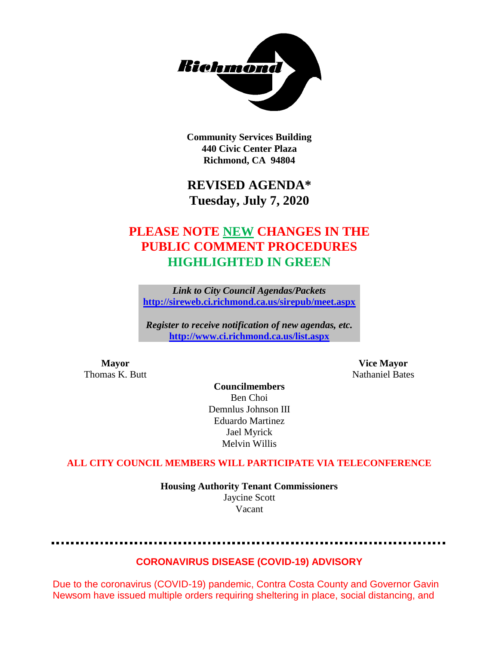

**Community Services Building 440 Civic Center Plaza Richmond, CA 94804**

# **REVISED AGENDA\* Tuesday, July 7, 2020**

# **PLEASE NOTE NEW CHANGES IN THE PUBLIC COMMENT PROCEDURES HIGHLIGHTED IN GREEN**

*Link to City Council Agendas/Packets* **<http://sireweb.ci.richmond.ca.us/sirepub/meet.aspx>**

*Register to receive notification of new agendas, etc.* **<http://www.ci.richmond.ca.us/list.aspx>**

**Mayor Vice Mayor** Thomas K. Butt Nathaniel Bates

**Councilmembers** Ben Choi Demnlus Johnson III Eduardo Martinez Jael Myrick Melvin Willis

#### **ALL CITY COUNCIL MEMBERS WILL PARTICIPATE VIA TELECONFERENCE**

**Housing Authority Tenant Commissioners** Jaycine Scott Vacant

## **CORONAVIRUS DISEASE (COVID-19) ADVISORY**

Due to the coronavirus (COVID-19) pandemic, Contra Costa County and Governor Gavin Newsom have issued multiple orders requiring sheltering in place, social distancing, and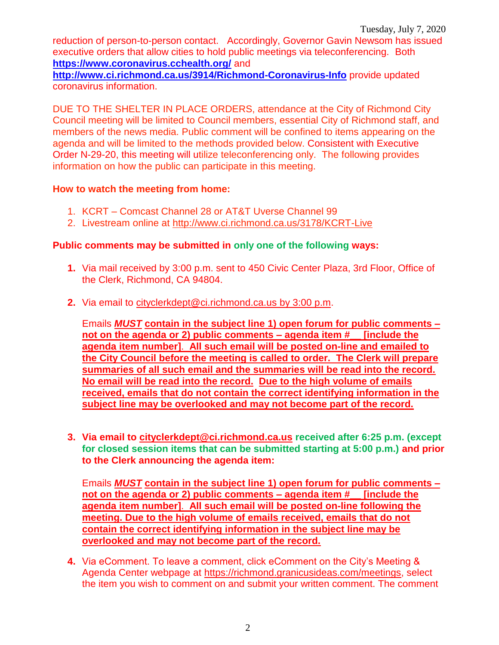reduction of person-to-person contact. Accordingly, Governor Gavin Newsom has issued executive orders that allow cities to hold public meetings via teleconferencing. Both **<https://www.coronavirus.cchealth.org/>** and

**<http://www.ci.richmond.ca.us/3914/Richmond-Coronavirus-Info>** provide updated coronavirus information.

DUE TO THE SHELTER IN PLACE ORDERS, attendance at the City of Richmond City Council meeting will be limited to Council members, essential City of Richmond staff, and members of the news media. Public comment will be confined to items appearing on the agenda and will be limited to the methods provided below. Consistent with Executive Order N-29-20, this meeting will utilize teleconferencing only. The following provides information on how the public can participate in this meeting.

#### **How to watch the meeting from home:**

- 1. KCRT Comcast Channel 28 or AT&T Uverse Channel 99
- 2. Livestream online at<http://www.ci.richmond.ca.us/3178/KCRT-Live>

## **Public comments may be submitted in only one of the following ways:**

- **1.** Via mail received by 3:00 p.m. sent to 450 Civic Center Plaza, 3rd Floor, Office of the Clerk, Richmond, CA 94804.
- **2.** Via email to [cityclerkdept@ci.richmond.ca.us](mailto:cityclerkdept@ci.richmond.ca.us) by 3:00 p.m.

Emails *MUST* **contain in the subject line 1) open forum for public comments – not on the agenda or 2) public comments – agenda item #\_\_ [include the agenda item number]**. **All such email will be posted on-line and emailed to the City Council before the meeting is called to order. The Clerk will prepare summaries of all such email and the summaries will be read into the record. No email will be read into the record. Due to the high volume of emails received, emails that do not contain the correct identifying information in the subject line may be overlooked and may not become part of the record.**

**3. Via email to [cityclerkdept@ci.richmond.ca.us](mailto:cityclerkdept@ci.richmond.ca.us) received after 6:25 p.m. (except for closed session items that can be submitted starting at 5:00 p.m.) and prior to the Clerk announcing the agenda item:**

Emails *MUST* **contain in the subject line 1) open forum for public comments – not on the agenda or 2) public comments – agenda item #\_\_ [include the agenda item number]**. **All such email will be posted on-line following the meeting. Due to the high volume of emails received, emails that do not contain the correct identifying information in the subject line may be overlooked and may not become part of the record.**

**4.** Via eComment. To leave a comment, click eComment on the City's Meeting & Agenda Center webpage at [https://richmond.granicusideas.com/meetings,](https://richmond.granicusideas.com/meetings) select the item you wish to comment on and submit your written comment. The comment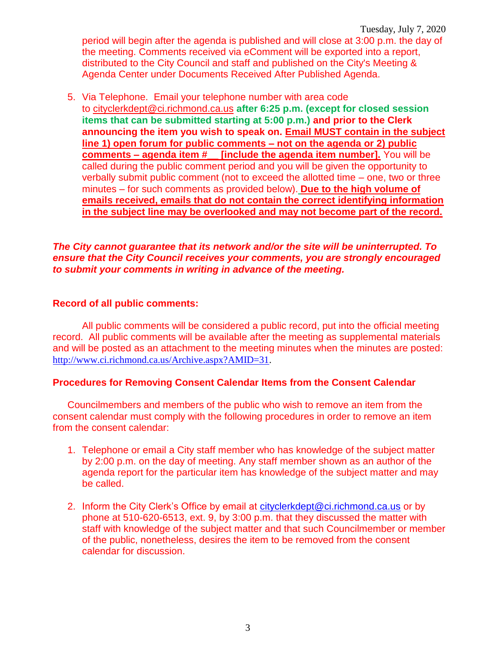Tuesday, July 7, 2020 period will begin after the agenda is published and will close at 3:00 p.m. the day of the meeting. Comments received via eComment will be exported into a report, distributed to the City Council and staff and published on the City's Meeting & Agenda Center under Documents Received After Published Agenda.

5. Via Telephone. Email your telephone number with area code to [cityclerkdept@ci.richmond.ca.us](mailto:cityclerkdept@ci.richmond.ca.us) **after 6:25 p.m. (except for closed session items that can be submitted starting at 5:00 p.m.) and prior to the Clerk announcing the item you wish to speak on. Email MUST contain in the subject line 1) open forum for public comments – not on the agenda or 2) public comments – agenda item #\_\_ [include the agenda item number].** You will be called during the public comment period and you will be given the opportunity to verbally submit public comment (not to exceed the allotted time – one, two or three minutes – for such comments as provided below). **Due to the high volume of emails received, emails that do not contain the correct identifying information in the subject line may be overlooked and may not become part of the record.**

#### *The City cannot guarantee that its network and/or the site will be uninterrupted. To ensure that the City Council receives your comments, you are strongly encouraged to submit your comments in writing in advance of the meeting.*

#### **Record of all public comments:**

All public comments will be considered a public record, put into the official meeting record. All public comments will be available after the meeting as supplemental materials and will be posted as an attachment to the meeting minutes when the minutes are posted: [http://www.ci.richmond.ca.us/Archive.aspx?AMID=31.](http://www.ci.richmond.ca.us/Archive.aspx?AMID=31)

#### **Procedures for Removing Consent Calendar Items from the Consent Calendar**

Councilmembers and members of the public who wish to remove an item from the consent calendar must comply with the following procedures in order to remove an item from the consent calendar:

- 1. Telephone or email a City staff member who has knowledge of the subject matter by 2:00 p.m. on the day of meeting. Any staff member shown as an author of the agenda report for the particular item has knowledge of the subject matter and may be called.
- 2. Inform the City Clerk's Office by email at [cityclerkdept@ci.richmond.ca.us](mailto:cityclerkdept@ci.richmond.ca.us) or by phone at 510-620-6513, ext. 9, by 3:00 p.m. that they discussed the matter with staff with knowledge of the subject matter and that such Councilmember or member of the public, nonetheless, desires the item to be removed from the consent calendar for discussion.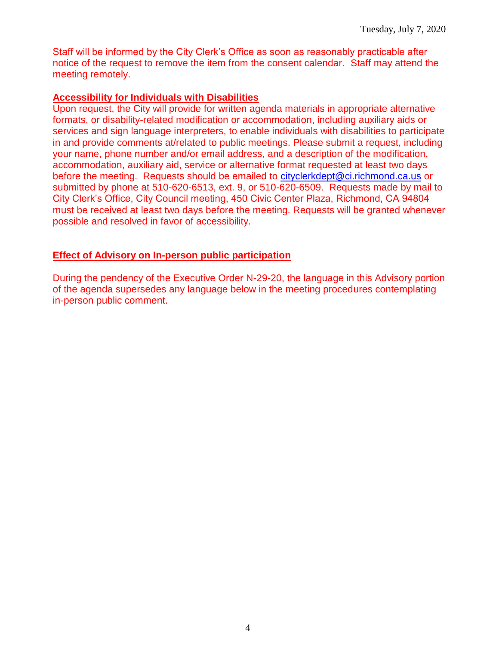Staff will be informed by the City Clerk's Office as soon as reasonably practicable after notice of the request to remove the item from the consent calendar. Staff may attend the meeting remotely.

#### **Accessibility for Individuals with Disabilities**

Upon request, the City will provide for written agenda materials in appropriate alternative formats, or disability-related modification or accommodation, including auxiliary aids or services and sign language interpreters, to enable individuals with disabilities to participate in and provide comments at/related to public meetings. Please submit a request, including your name, phone number and/or email address, and a description of the modification, accommodation, auxiliary aid, service or alternative format requested at least two days before the meeting. Requests should be emailed to [cityclerkdept@ci.richmond.ca.us](mailto:cityclerkdept@ci.richmond.ca.us) or submitted by phone at 510-620-6513, ext. 9, or 510-620-6509. Requests made by mail to City Clerk's Office, City Council meeting, 450 Civic Center Plaza, Richmond, CA 94804 must be received at least two days before the meeting. Requests will be granted whenever possible and resolved in favor of accessibility.

#### **Effect of Advisory on In-person public participation**

During the pendency of the Executive Order N-29-20, the language in this Advisory portion of the agenda supersedes any language below in the meeting procedures contemplating in-person public comment.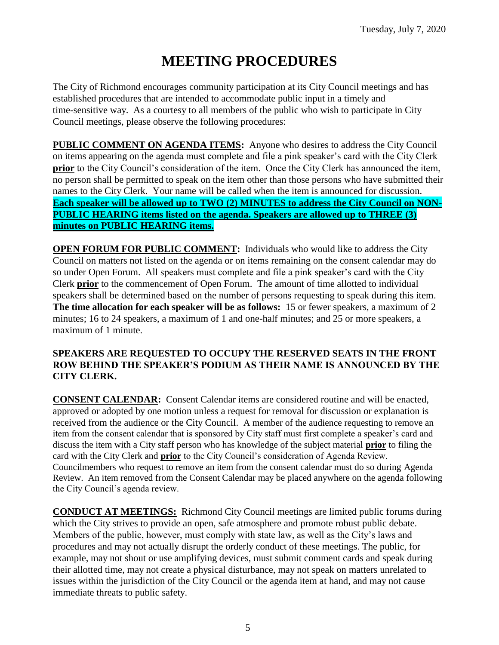# **MEETING PROCEDURES**

The City of Richmond encourages community participation at its City Council meetings and has established procedures that are intended to accommodate public input in a timely and time-sensitive way. As a courtesy to all members of the public who wish to participate in City Council meetings, please observe the following procedures:

**PUBLIC COMMENT ON AGENDA ITEMS:** Anyone who desires to address the City Council on items appearing on the agenda must complete and file a pink speaker's card with the City Clerk **prior** to the City Council's consideration of the item. Once the City Clerk has announced the item, no person shall be permitted to speak on the item other than those persons who have submitted their names to the City Clerk. Your name will be called when the item is announced for discussion. **Each speaker will be allowed up to TWO (2) MINUTES to address the City Council on NON-PUBLIC HEARING items listed on the agenda. Speakers are allowed up to THREE (3) minutes on PUBLIC HEARING items.**

**OPEN FORUM FOR PUBLIC COMMENT:** Individuals who would like to address the City Council on matters not listed on the agenda or on items remaining on the consent calendar may do so under Open Forum. All speakers must complete and file a pink speaker's card with the City Clerk **prior** to the commencement of Open Forum. The amount of time allotted to individual speakers shall be determined based on the number of persons requesting to speak during this item. **The time allocation for each speaker will be as follows:** 15 or fewer speakers, a maximum of 2 minutes; 16 to 24 speakers, a maximum of 1 and one-half minutes; and 25 or more speakers, a maximum of 1 minute.

#### **SPEAKERS ARE REQUESTED TO OCCUPY THE RESERVED SEATS IN THE FRONT ROW BEHIND THE SPEAKER'S PODIUM AS THEIR NAME IS ANNOUNCED BY THE CITY CLERK.**

**CONSENT CALENDAR:** Consent Calendar items are considered routine and will be enacted, approved or adopted by one motion unless a request for removal for discussion or explanation is received from the audience or the City Council. A member of the audience requesting to remove an item from the consent calendar that is sponsored by City staff must first complete a speaker's card and discuss the item with a City staff person who has knowledge of the subject material **prior** to filing the card with the City Clerk and **prior** to the City Council's consideration of Agenda Review. Councilmembers who request to remove an item from the consent calendar must do so during Agenda Review. An item removed from the Consent Calendar may be placed anywhere on the agenda following the City Council's agenda review.

**CONDUCT AT MEETINGS:** Richmond City Council meetings are limited public forums during which the City strives to provide an open, safe atmosphere and promote robust public debate. Members of the public, however, must comply with state law, as well as the City's laws and procedures and may not actually disrupt the orderly conduct of these meetings. The public, for example, may not shout or use amplifying devices, must submit comment cards and speak during their allotted time, may not create a physical disturbance, may not speak on matters unrelated to issues within the jurisdiction of the City Council or the agenda item at hand, and may not cause immediate threats to public safety.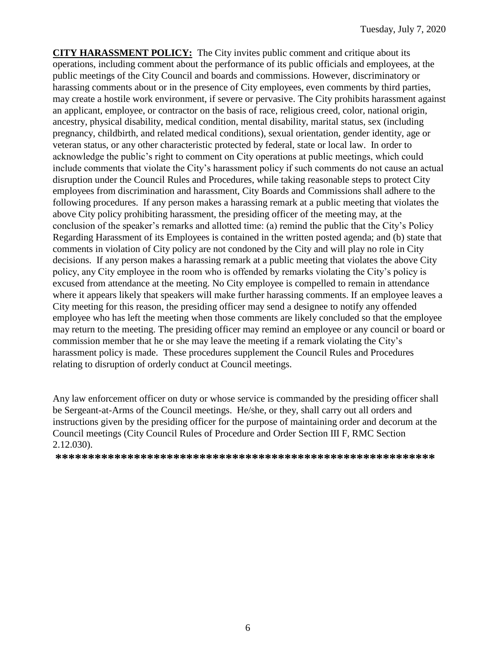**CITY HARASSMENT POLICY:** The City invites public comment and critique about its operations, including comment about the performance of its public officials and employees, at the public meetings of the City Council and boards and commissions. However, discriminatory or harassing comments about or in the presence of City employees, even comments by third parties, may create a hostile work environment, if severe or pervasive. The City prohibits harassment against an applicant, employee, or contractor on the basis of race, religious creed, color, national origin, ancestry, physical disability, medical condition, mental disability, marital status, sex (including pregnancy, childbirth, and related medical conditions), sexual orientation, gender identity, age or veteran status, or any other characteristic protected by federal, state or local law. In order to acknowledge the public's right to comment on City operations at public meetings, which could include comments that violate the City's harassment policy if such comments do not cause an actual disruption under the Council Rules and Procedures, while taking reasonable steps to protect City employees from discrimination and harassment, City Boards and Commissions shall adhere to the following procedures. If any person makes a harassing remark at a public meeting that violates the above City policy prohibiting harassment, the presiding officer of the meeting may, at the conclusion of the speaker's remarks and allotted time: (a) remind the public that the City's Policy Regarding Harassment of its Employees is contained in the written posted agenda; and (b) state that comments in violation of City policy are not condoned by the City and will play no role in City decisions. If any person makes a harassing remark at a public meeting that violates the above City policy, any City employee in the room who is offended by remarks violating the City's policy is excused from attendance at the meeting. No City employee is compelled to remain in attendance where it appears likely that speakers will make further harassing comments. If an employee leaves a City meeting for this reason, the presiding officer may send a designee to notify any offended employee who has left the meeting when those comments are likely concluded so that the employee may return to the meeting. The presiding officer may remind an employee or any council or board or commission member that he or she may leave the meeting if a remark violating the City's harassment policy is made. These procedures supplement the Council Rules and Procedures relating to disruption of orderly conduct at Council meetings.

Any law enforcement officer on duty or whose service is commanded by the presiding officer shall be Sergeant-at-Arms of the Council meetings. He/she, or they, shall carry out all orders and instructions given by the presiding officer for the purpose of maintaining order and decorum at the Council meetings (City Council Rules of Procedure and Order Section III F, RMC Section 2.12.030).

**\*\*\*\*\*\*\*\*\*\*\*\*\*\*\*\*\*\*\*\*\*\*\*\*\*\*\*\*\*\*\*\*\*\*\*\*\*\*\*\*\*\*\*\*\*\*\*\*\*\*\*\*\*\*\*\*\*\***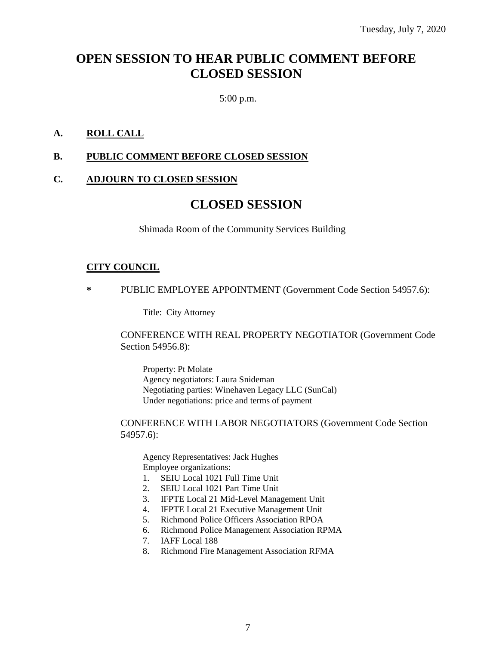# **OPEN SESSION TO HEAR PUBLIC COMMENT BEFORE CLOSED SESSION**

5:00 p.m.

## **A. ROLL CALL**

#### **B. PUBLIC COMMENT BEFORE CLOSED SESSION**

#### **C. ADJOURN TO CLOSED SESSION**

# **CLOSED SESSION**

Shimada Room of the Community Services Building

#### **CITY COUNCIL**

**\*** PUBLIC EMPLOYEE APPOINTMENT (Government Code Section 54957.6):

Title: City Attorney

#### CONFERENCE WITH REAL PROPERTY NEGOTIATOR (Government Code Section 54956.8):

Property: Pt Molate Agency negotiators: Laura Snideman Negotiating parties: Winehaven Legacy LLC (SunCal) Under negotiations: price and terms of payment

CONFERENCE WITH LABOR NEGOTIATORS (Government Code Section 54957.6):

Agency Representatives: Jack Hughes Employee organizations:

- 1. SEIU Local 1021 Full Time Unit
- 2. SEIU Local 1021 Part Time Unit
- 3. IFPTE Local 21 Mid-Level Management Unit
- 4. IFPTE Local 21 Executive Management Unit
- 5. Richmond Police Officers Association RPOA
- 6. Richmond Police Management Association RPMA
- 7. IAFF Local 188
- 8. Richmond Fire Management Association RFMA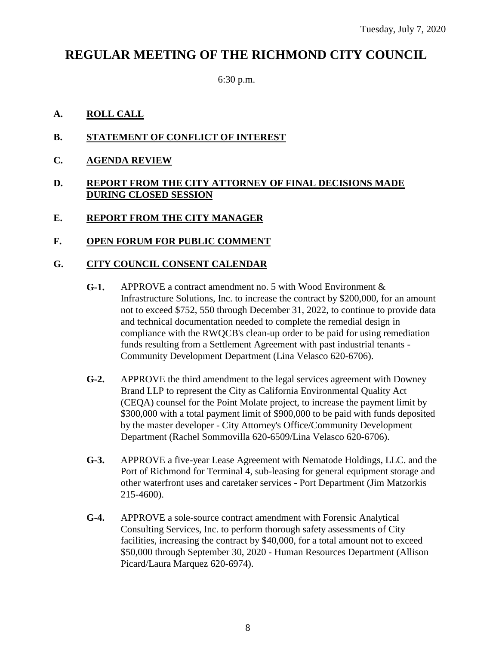# **REGULAR MEETING OF THE RICHMOND CITY COUNCIL**

6:30 p.m.

### **A. ROLL CALL**

- **B. STATEMENT OF CONFLICT OF INTEREST**
- **C. AGENDA REVIEW**

#### **D. REPORT FROM THE CITY ATTORNEY OF FINAL DECISIONS MADE DURING CLOSED SESSION**

- **E. REPORT FROM THE CITY MANAGER**
- **F. OPEN FORUM FOR PUBLIC COMMENT**

## **G. CITY COUNCIL CONSENT CALENDAR**

- **G-1.** APPROVE a contract amendment no. 5 with Wood Environment & Infrastructure Solutions, Inc. to increase the contract by \$200,000, for an amount not to exceed \$752, 550 through December 31, 2022, to continue to provide data and technical documentation needed to complete the remedial design in compliance with the RWQCB's clean-up order to be paid for using remediation funds resulting from a Settlement Agreement with past industrial tenants - Community Development Department (Lina Velasco 620-6706).
- **G-2.** APPROVE the third amendment to the legal services agreement with Downey Brand LLP to represent the City as California Environmental Quality Act (CEQA) counsel for the Point Molate project, to increase the payment limit by \$300,000 with a total payment limit of \$900,000 to be paid with funds deposited by the master developer - City Attorney's Office/Community Development Department (Rachel Sommovilla 620-6509/Lina Velasco 620-6706).
- **G-3.** APPROVE a five-year Lease Agreement with Nematode Holdings, LLC. and the Port of Richmond for Terminal 4, sub-leasing for general equipment storage and other waterfront uses and caretaker services - Port Department (Jim Matzorkis 215-4600).
- **G-4.** APPROVE a sole-source contract amendment with Forensic Analytical Consulting Services, Inc. to perform thorough safety assessments of City facilities, increasing the contract by \$40,000, for a total amount not to exceed \$50,000 through September 30, 2020 - Human Resources Department (Allison Picard/Laura Marquez 620-6974).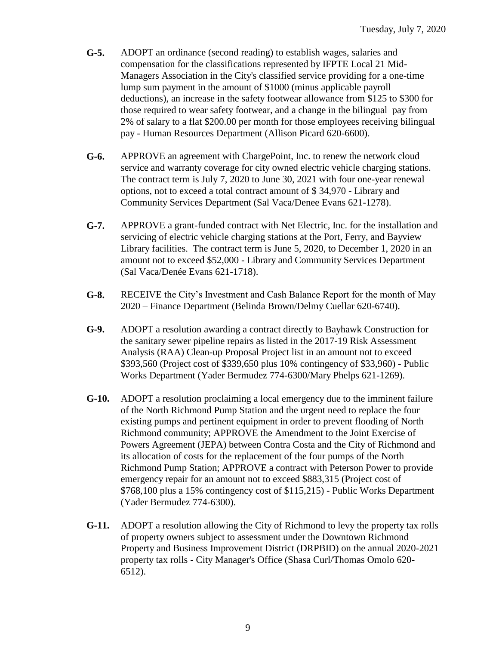- **G-5.** ADOPT an ordinance (second reading) to establish wages, salaries and compensation for the classifications represented by IFPTE Local 21 Mid-Managers Association in the City's classified service providing for a one-time lump sum payment in the amount of \$1000 (minus applicable payroll deductions), an increase in the safety footwear allowance from \$125 to \$300 for those required to wear safety footwear, and a change in the bilingual pay from 2% of salary to a flat \$200.00 per month for those employees receiving bilingual pay - Human Resources Department (Allison Picard 620-6600).
- **G-6.** APPROVE an agreement with ChargePoint, Inc. to renew the network cloud service and warranty coverage for city owned electric vehicle charging stations. The contract term is July 7, 2020 to June 30, 2021 with four one-year renewal options, not to exceed a total contract amount of \$ 34,970 - Library and Community Services Department (Sal Vaca/Denee Evans 621-1278).
- **G-7.** APPROVE a grant-funded contract with Net Electric, Inc. for the installation and servicing of electric vehicle charging stations at the Port, Ferry, and Bayview Library facilities. The contract term is June 5, 2020, to December 1, 2020 in an amount not to exceed \$52,000 - Library and Community Services Department (Sal Vaca/Denée Evans 621-1718).
- **G-8.** RECEIVE the City's Investment and Cash Balance Report for the month of May 2020 – Finance Department (Belinda Brown/Delmy Cuellar 620-6740).
- **G-9.** ADOPT a resolution awarding a contract directly to Bayhawk Construction for the sanitary sewer pipeline repairs as listed in the 2017-19 Risk Assessment Analysis (RAA) Clean-up Proposal Project list in an amount not to exceed \$393,560 (Project cost of \$339,650 plus 10% contingency of \$33,960) - Public Works Department (Yader Bermudez 774-6300/Mary Phelps 621-1269).
- **G-10.** ADOPT a resolution proclaiming a local emergency due to the imminent failure of the North Richmond Pump Station and the urgent need to replace the four existing pumps and pertinent equipment in order to prevent flooding of North Richmond community; APPROVE the Amendment to the Joint Exercise of Powers Agreement (JEPA) between Contra Costa and the City of Richmond and its allocation of costs for the replacement of the four pumps of the North Richmond Pump Station; APPROVE a contract with Peterson Power to provide emergency repair for an amount not to exceed \$883,315 (Project cost of \$768,100 plus a 15% contingency cost of \$115,215) - Public Works Department (Yader Bermudez 774-6300).
- **G-11.** ADOPT a resolution allowing the City of Richmond to levy the property tax rolls of property owners subject to assessment under the Downtown Richmond Property and Business Improvement District (DRPBID) on the annual 2020-2021 property tax rolls - City Manager's Office (Shasa Curl/Thomas Omolo 620- 6512).